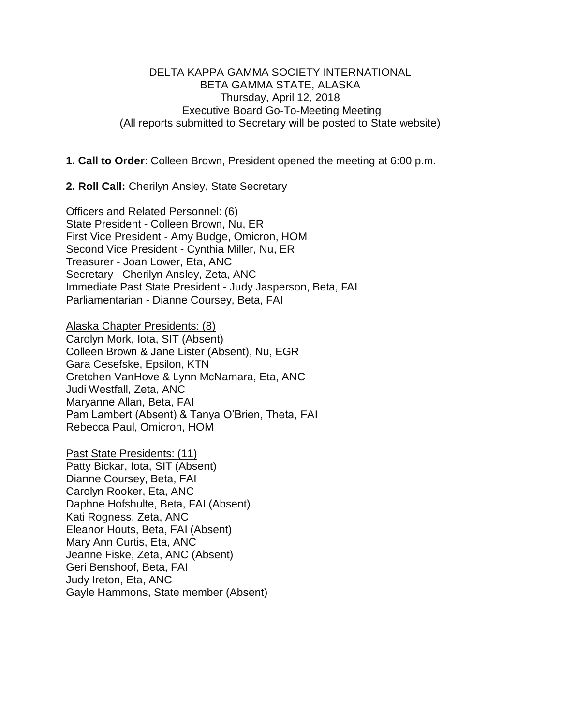### DELTA KAPPA GAMMA SOCIETY INTERNATIONAL BETA GAMMA STATE, ALASKA Thursday, April 12, 2018 Executive Board Go-To-Meeting Meeting (All reports submitted to Secretary will be posted to State website)

**1. Call to Order**: Colleen Brown, President opened the meeting at 6:00 p.m.

**2. Roll Call:** Cherilyn Ansley, State Secretary

Officers and Related Personnel: (6) State President - Colleen Brown, Nu, ER First Vice President - Amy Budge, Omicron, HOM Second Vice President - Cynthia Miller, Nu, ER Treasurer - Joan Lower, Eta, ANC Secretary - Cherilyn Ansley, Zeta, ANC Immediate Past State President - Judy Jasperson, Beta, FAI Parliamentarian - Dianne Coursey, Beta, FAI

Alaska Chapter Presidents: (8)

Carolyn Mork, Iota, SIT (Absent) Colleen Brown & Jane Lister (Absent), Nu, EGR Gara Cesefske, Epsilon, KTN Gretchen VanHove & Lynn McNamara, Eta, ANC Judi Westfall, Zeta, ANC Maryanne Allan, Beta, FAI Pam Lambert (Absent) & Tanya O'Brien, Theta, FAI Rebecca Paul, Omicron, HOM

Past State Presidents: (11) Patty Bickar, Iota, SIT (Absent) Dianne Coursey, Beta, FAI Carolyn Rooker, Eta, ANC Daphne Hofshulte, Beta, FAI (Absent) Kati Rogness, Zeta, ANC Eleanor Houts, Beta, FAI (Absent) Mary Ann Curtis, Eta, ANC Jeanne Fiske, Zeta, ANC (Absent) Geri Benshoof, Beta, FAI Judy Ireton, Eta, ANC Gayle Hammons, State member (Absent)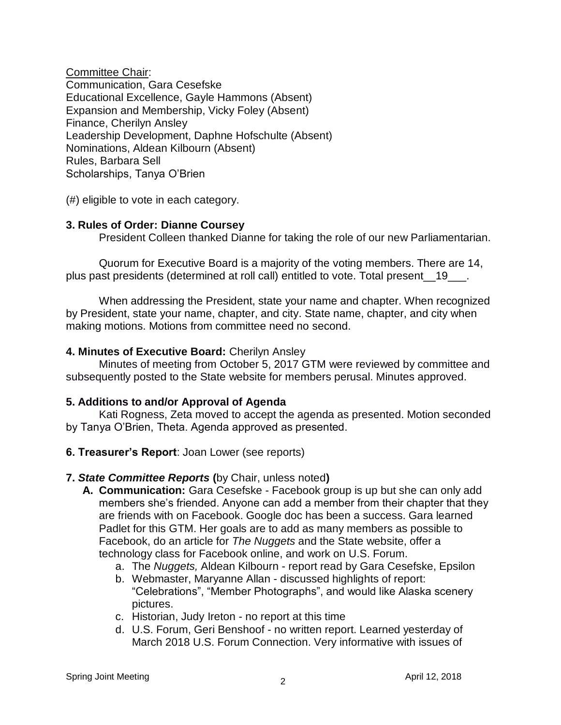Committee Chair: Communication, Gara Cesefske Educational Excellence, Gayle Hammons (Absent) Expansion and Membership, Vicky Foley (Absent) Finance, Cherilyn Ansley Leadership Development, Daphne Hofschulte (Absent) Nominations, Aldean Kilbourn (Absent) Rules, Barbara Sell Scholarships, Tanya O'Brien

(#) eligible to vote in each category.

## **3. Rules of Order: Dianne Coursey**

President Colleen thanked Dianne for taking the role of our new Parliamentarian.

Quorum for Executive Board is a majority of the voting members. There are 14, plus past presidents (determined at roll call) entitled to vote. Total present\_\_19\_\_\_.

When addressing the President, state your name and chapter. When recognized by President, state your name, chapter, and city. State name, chapter, and city when making motions. Motions from committee need no second.

## **4. Minutes of Executive Board:** Cherilyn Ansley

Minutes of meeting from October 5, 2017 GTM were reviewed by committee and subsequently posted to the State website for members perusal. Minutes approved.

## **5. Additions to and/or Approval of Agenda**

Kati Rogness, Zeta moved to accept the agenda as presented. Motion seconded by Tanya O'Brien, Theta. Agenda approved as presented.

**6. Treasurer's Report**: Joan Lower (see reports)

## **7.** *State Committee Reports* **(**by Chair, unless noted**)**

- **A. Communication:** Gara Cesefske Facebook group is up but she can only add members she's friended. Anyone can add a member from their chapter that they are friends with on Facebook. Google doc has been a success. Gara learned Padlet for this GTM. Her goals are to add as many members as possible to Facebook, do an article for *The Nuggets* and the State website, offer a technology class for Facebook online, and work on U.S. Forum.
	- a. The *Nuggets,* Aldean Kilbourn report read by Gara Cesefske, Epsilon
	- b. Webmaster, Maryanne Allan discussed highlights of report: "Celebrations", "Member Photographs", and would like Alaska scenery pictures.
	- c. Historian, Judy Ireton no report at this time
	- d. U.S. Forum, Geri Benshoof no written report. Learned yesterday of March 2018 U.S. Forum Connection. Very informative with issues of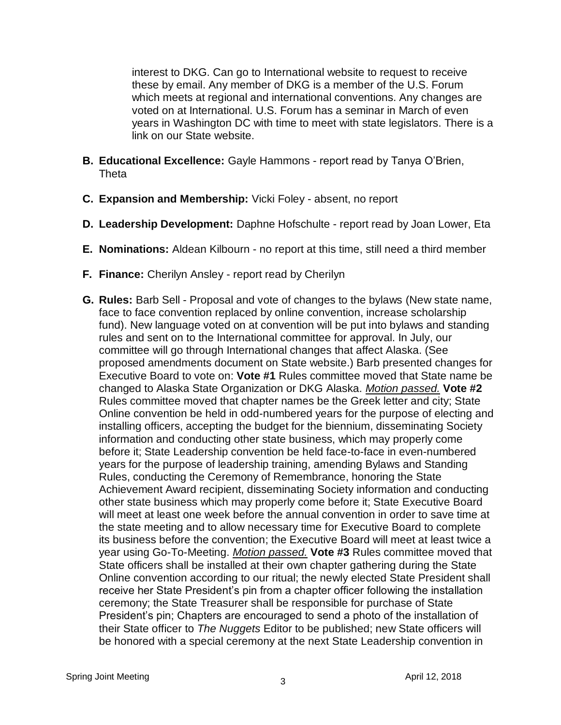interest to DKG. Can go to International website to request to receive these by email. Any member of DKG is a member of the U.S. Forum which meets at regional and international conventions. Any changes are voted on at International. U.S. Forum has a seminar in March of even years in Washington DC with time to meet with state legislators. There is a link on our State website.

- **B. Educational Excellence:** Gayle Hammons report read by Tanya O'Brien, **Theta**
- **C. Expansion and Membership:** Vicki Foley absent, no report
- **D. Leadership Development:** Daphne Hofschulte report read by Joan Lower, Eta
- **E. Nominations:** Aldean Kilbourn no report at this time, still need a third member
- **F. Finance:** Cherilyn Ansley report read by Cherilyn
- **G. Rules:** Barb Sell Proposal and vote of changes to the bylaws (New state name, face to face convention replaced by online convention, increase scholarship fund). New language voted on at convention will be put into bylaws and standing rules and sent on to the International committee for approval. In July, our committee will go through International changes that affect Alaska. (See proposed amendments document on State website.) Barb presented changes for Executive Board to vote on: **Vote #1** Rules committee moved that State name be changed to Alaska State Organization or DKG Alaska. *Motion passed.* **Vote #2** Rules committee moved that chapter names be the Greek letter and city; State Online convention be held in odd-numbered years for the purpose of electing and installing officers, accepting the budget for the biennium, disseminating Society information and conducting other state business, which may properly come before it; State Leadership convention be held face-to-face in even-numbered years for the purpose of leadership training, amending Bylaws and Standing Rules, conducting the Ceremony of Remembrance, honoring the State Achievement Award recipient, disseminating Society information and conducting other state business which may properly come before it; State Executive Board will meet at least one week before the annual convention in order to save time at the state meeting and to allow necessary time for Executive Board to complete its business before the convention; the Executive Board will meet at least twice a year using Go-To-Meeting. *Motion passed.* **Vote #3** Rules committee moved that State officers shall be installed at their own chapter gathering during the State Online convention according to our ritual; the newly elected State President shall receive her State President's pin from a chapter officer following the installation ceremony; the State Treasurer shall be responsible for purchase of State President's pin; Chapters are encouraged to send a photo of the installation of their State officer to *The Nuggets* Editor to be published; new State officers will be honored with a special ceremony at the next State Leadership convention in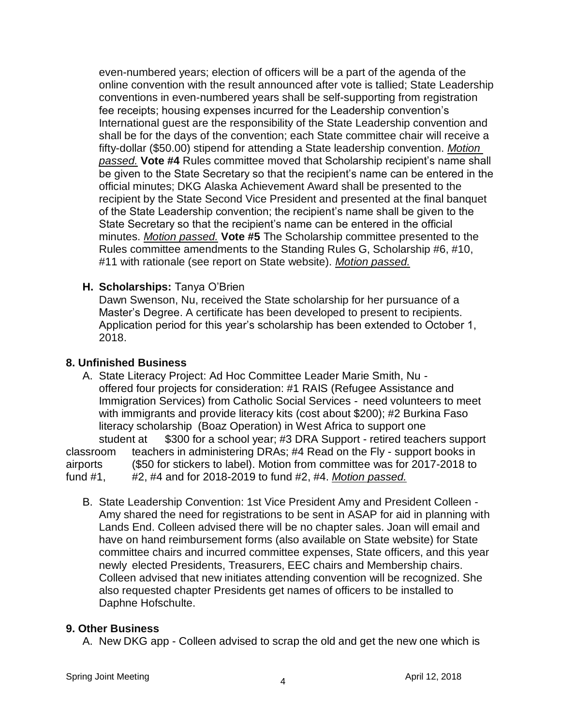even-numbered years; election of officers will be a part of the agenda of the online convention with the result announced after vote is tallied; State Leadership conventions in even-numbered years shall be self-supporting from registration fee receipts; housing expenses incurred for the Leadership convention's International guest are the responsibility of the State Leadership convention and shall be for the days of the convention; each State committee chair will receive a fifty-dollar (\$50.00) stipend for attending a State leadership convention. *Motion passed.* **Vote #4** Rules committee moved that Scholarship recipient's name shall be given to the State Secretary so that the recipient's name can be entered in the official minutes; DKG Alaska Achievement Award shall be presented to the recipient by the State Second Vice President and presented at the final banquet of the State Leadership convention; the recipient's name shall be given to the State Secretary so that the recipient's name can be entered in the official minutes. *Motion passed.* **Vote #5** The Scholarship committee presented to the Rules committee amendments to the Standing Rules G, Scholarship #6, #10, #11 with rationale (see report on State website). *Motion passed.*

## **H. Scholarships:** Tanya O'Brien

Dawn Swenson, Nu, received the State scholarship for her pursuance of a Master's Degree. A certificate has been developed to present to recipients. Application period for this year's scholarship has been extended to October 1, 2018.

## **8. Unfinished Business**

- A. State Literacy Project: Ad Hoc Committee Leader Marie Smith, Nu offered four projects for consideration: #1 RAIS (Refugee Assistance and Immigration Services) from Catholic Social Services - need volunteers to meet with immigrants and provide literacy kits (cost about \$200); #2 Burkina Faso literacy scholarship (Boaz Operation) in West Africa to support one student at \$300 for a school year; #3 DRA Support - retired teachers support classroom teachers in administering DRAs; #4 Read on the Fly - support books in airports (\$50 for stickers to label). Motion from committee was for 2017-2018 to fund #1, #2, #4 and for 2018-2019 to fund #2, #4. *Motion passed.*
	- B. State Leadership Convention: 1st Vice President Amy and President Colleen Amy shared the need for registrations to be sent in ASAP for aid in planning with Lands End. Colleen advised there will be no chapter sales. Joan will email and have on hand reimbursement forms (also available on State website) for State committee chairs and incurred committee expenses, State officers, and this year newly elected Presidents, Treasurers, EEC chairs and Membership chairs. Colleen advised that new initiates attending convention will be recognized. She also requested chapter Presidents get names of officers to be installed to Daphne Hofschulte.

## **9. Other Business**

A. New DKG app - Colleen advised to scrap the old and get the new one which is